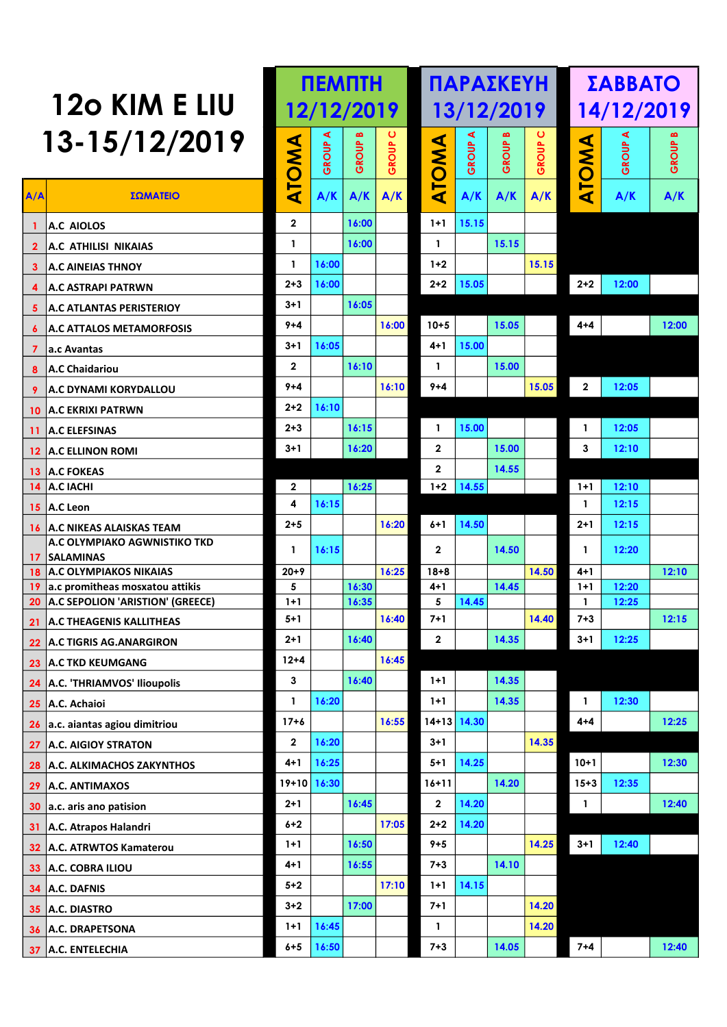| 120 KIM E LIU |                                                       |              | <b>NEMNTH</b> |       |       |                  |       | <b>ΠΑΡΑΣΚΕΥΗ</b> |       | ΣΑΒΒΑΤΟ                   |       |       |  |
|---------------|-------------------------------------------------------|--------------|---------------|-------|-------|------------------|-------|------------------|-------|---------------------------|-------|-------|--|
|               |                                                       |              | 12/12/2019    |       |       |                  |       | 13/12/2019       |       | 14/12/2019                |       |       |  |
|               | 13-15/12/2019                                         |              | ⋖             |       | ပ     |                  | ⋖     |                  | ပ     |                           | ⋖     |       |  |
|               |                                                       |              | GROUP         | GROUP | GROUP |                  | GROUP | GROUP            | GROUP | <b>AWO</b>                | GROUP | GROUP |  |
| A/A           | ΣΩΜΑΤΕΙΟ                                              | <b>ATOMA</b> | A/K           | A/K   | A/K   | <b>ATOMA</b>     | A/K   | A/K              | A/K   | ⊢<br>$\blacktriangleleft$ | A/K   | A/K   |  |
|               | 1 A.C AIOLOS                                          | $\mathbf{2}$ |               | 16:00 |       | $1+1$            | 15.15 |                  |       |                           |       |       |  |
|               | 2 A.C ATHILISI NIKAIAS                                | $\mathbf{1}$ |               | 16:00 |       | $\mathbf{1}$     |       | 15.15            |       |                           |       |       |  |
|               | <b>3</b> A.C AINEIAS THNOY                            | $\mathbf{1}$ | 16:00         |       |       | $1 + 2$          |       |                  | 15.15 |                           |       |       |  |
|               | 4 A.C ASTRAPI PATRWN                                  | $2 + 3$      | 16:00         |       |       | $2 + 2$          | 15.05 |                  |       | $2 + 2$                   | 12:00 |       |  |
|               | 5 A.C ATLANTAS PERISTERIOY                            | $3 + 1$      |               | 16:05 |       |                  |       |                  |       |                           |       |       |  |
|               | 6   A.C ATTALOS METAMORFOSIS                          | $9 + 4$      |               |       | 16:00 | $10 + 5$         |       | 15.05            |       | 4+4                       |       | 12:00 |  |
|               | 7 a.c Avantas                                         | $3 + 1$      | 16:05         |       |       | 4+1              | 15.00 |                  |       |                           |       |       |  |
|               | 8 A.C Chaidariou                                      | $\mathbf{2}$ |               | 16:10 |       | $\mathbf{1}$     |       | 15.00            |       |                           |       |       |  |
|               | 9 A.C DYNAMI KORYDALLOU                               | $9 + 4$      |               |       | 16:10 | $9 + 4$          |       |                  | 15.05 | $\overline{2}$            | 12:05 |       |  |
|               | <b>10 A.C EKRIXI PATRWN</b>                           | $2 + 2$      | 16:10         |       |       |                  |       |                  |       |                           |       |       |  |
|               | 11 A.C ELEFSINAS                                      | $2 + 3$      |               | 16:15 |       | $\mathbf{1}$     | 15.00 |                  |       | $\mathbf{1}$              | 12:05 |       |  |
|               | 12 A.C ELLINON ROMI                                   | $3 + 1$      |               | 16:20 |       | $\overline{2}$   |       | 15.00            |       | 3                         | 12:10 |       |  |
|               | 13 A.C FOKEAS                                         |              |               |       |       | $\overline{2}$   |       | 14.55            |       |                           |       |       |  |
|               | 14 A.C IACHI                                          | $\mathbf{2}$ |               | 16:25 |       | $1+2$            | 14.55 |                  |       | $1+1$                     | 12:10 |       |  |
|               | 15 A.C Leon                                           | 4            | 16:15         |       |       |                  |       |                  |       | $\mathbf{1}$              | 12:15 |       |  |
|               | <b>16 A.C NIKEAS ALAISKAS TEAM</b>                    | $2 + 5$      |               |       | 16:20 | $6+1$            | 14.50 |                  |       | $2 + 1$                   | 12:15 |       |  |
|               | <b>A.C OLYMPIAKO AGWNISTIKO TKD</b><br>17   SALAMINAS | $\mathbf{1}$ | 16:15         |       |       | $\overline{2}$   |       | 14.50            |       | -1                        | 12:20 |       |  |
|               | <b>18 A.C OLYMPIAKOS NIKAIAS</b>                      | $20+9$       |               |       | 16:25 | $18 + 8$         |       |                  | 14.50 | $4 + 1$                   |       | 12:10 |  |
|               | $19$ a.c promitheas mosxatou attikis                  | 5            |               | 16:30 |       | $4 + 1$          |       | 14.45            |       | $1+1$                     | 12:20 |       |  |
|               | 20 A.C SEPOLION 'ARISTION' (GREECE)                   | $1+1$        |               | 16:35 |       | 5                | 14.45 |                  |       | $\mathbf{1}$              | 12:25 |       |  |
|               | 21 A.C THEAGENIS KALLITHEAS                           | $5 + 1$      |               |       | 16:40 | $7 + 1$          |       |                  | 14.40 | $7 + 3$                   |       | 12:15 |  |
|               | 22 A.C TIGRIS AG.ANARGIRON                            | $2 + 1$      |               | 16:40 |       | $\boldsymbol{2}$ |       | 14.35            |       | $3 + 1$                   | 12:25 |       |  |
|               | 23 A.C TKD KEUMGANG                                   | $12 + 4$     |               |       | 16:45 |                  |       |                  |       |                           |       |       |  |
|               | 24 A.C. 'THRIAMVOS' Ilioupolis                        | $\mathbf{3}$ |               | 16:40 |       | $1 + 1$          |       | 14.35            |       |                           |       |       |  |
|               | 25 A.C. Achaioi                                       | $\mathbf{1}$ | 16:20         |       |       | $1 + 1$          |       | 14.35            |       | $\mathbf{1}$              | 12:30 |       |  |
|               | 26 a.c. aiantas agiou dimitriou                       | $17 + 6$     |               |       | 16:55 | 14+13            | 14.30 |                  |       | $4 + 4$                   |       | 12:25 |  |
|               | 27 A.C. AIGIOY STRATON                                | $\mathbf 2$  | 16:20         |       |       | $3 + 1$          |       |                  | 14.35 |                           |       |       |  |
|               | 28 A.C. ALKIMACHOS ZAKYNTHOS                          | $4 + 1$      | 16:25         |       |       | $5 + 1$          | 14.25 |                  |       | $10+1$                    |       | 12:30 |  |
|               | 29 A.C. ANTIMAXOS                                     | $19+10$      | 16:30         |       |       | 16+11            |       | 14.20            |       | $15 + 3$                  | 12:35 |       |  |
|               | 30 a.c. aris ano patision                             | $2 + 1$      |               | 16:45 |       | $\mathbf{2}$     | 14.20 |                  |       | $\mathbf{1}$              |       | 12:40 |  |
|               | 31 A.C. Atrapos Halandri                              | $6+2$        |               |       | 17:05 | $2 + 2$          | 14.20 |                  |       |                           |       |       |  |
|               | 32 A.C. ATRWTOS Kamaterou                             | $1 + 1$      |               | 16:50 |       | $9 + 5$          |       |                  | 14.25 | $3 + 1$                   | 12:40 |       |  |
|               | 33 A.C. COBRA ILIOU                                   | $4 + 1$      |               | 16:55 |       | $7 + 3$          |       | 14.10            |       |                           |       |       |  |
|               | 34 A.C. DAFNIS                                        | $5 + 2$      |               |       | 17:10 | $1 + 1$          | 14.15 |                  |       |                           |       |       |  |
|               | 35 A.C. DIASTRO                                       | $3 + 2$      |               | 17:00 |       | $7 + 1$          |       |                  | 14.20 |                           |       |       |  |
|               | 36 A.C. DRAPETSONA                                    | $1 + 1$      | 16:45         |       |       | -1               |       |                  | 14.20 |                           |       |       |  |
|               | 37 A.C. ENTELECHIA                                    | $6 + 5$      | 16:50         |       |       | $7 + 3$          |       | 14.05            |       | $7 + 4$                   |       | 12:40 |  |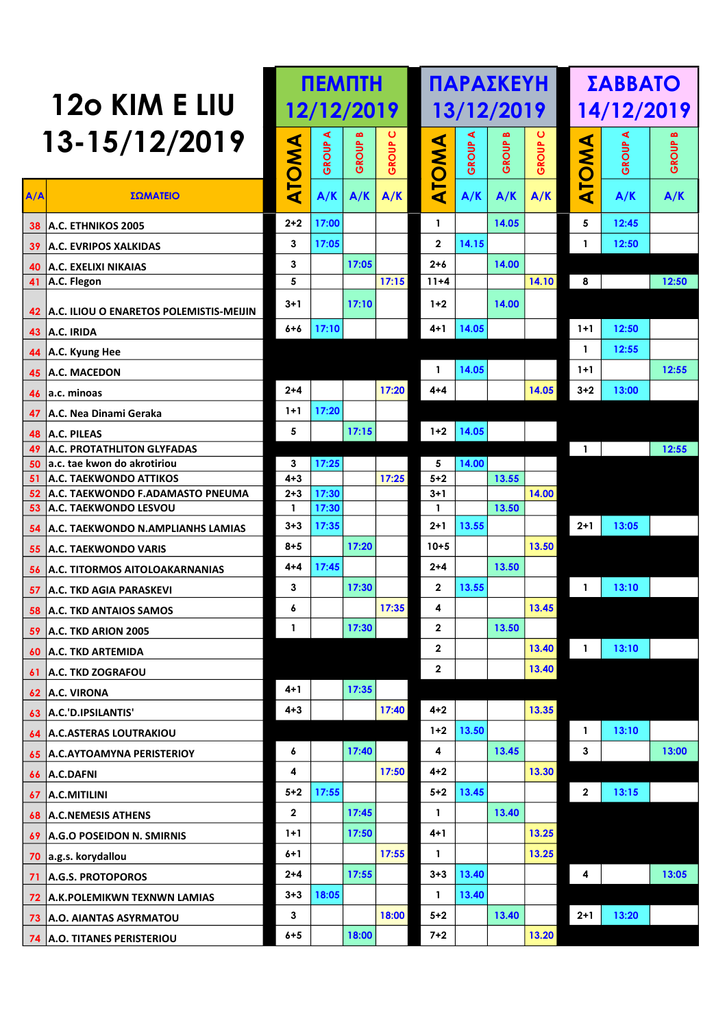| 13-15/12/2019<br><b>GROUP C</b><br><b>GROUP C</b><br><b>GROUP A</b><br>GROUP B<br><b>GROUP A</b><br><b>GROUP B</b><br><b>GROUP A</b><br>ATOMA<br><b>ATOMA</b><br>TOMA<br>GROUP<br>A/A<br>ΣΩΜΑΤΕΙΟ<br>A/K<br>A/K<br>A/K<br>∢<br>A/K<br>A/K<br>A/K<br>A/K<br>A/K<br>$2 + 2$<br>5<br>17:00<br>14.05<br>12:45<br>$\mathbf{1}$<br><b>38 A.C. ETHNIKOS 2005</b><br>14.15<br>3<br>17:05<br>$\mathbf{2}$<br>12:50<br>$\mathbf{1}$<br>39 A.C. EVRIPOS XALKIDAS<br>3<br>17:05<br>$2 + 6$<br>14.00<br>40 A.C. EXELIXI NIKAIAS<br>5<br>17:15<br>8<br>$\overline{41}$ A.C. Flegon<br>14.10<br>12:50<br>$11 + 4$<br>14.00<br>$3 + 1$<br>17:10<br>$1+2$<br>42 A.C. ILIOU O ENARETOS POLEMISTIS-MEIJIN<br>17:10<br>12:50<br>$4 + 1$<br>14.05<br>$1+1$<br>6+6<br>43 $ A.C.$ IRIDA<br>$\mathbf{1}$<br>12:55<br>44 A.C. Kyung Hee<br>14.05<br>12:55<br>$1+1$<br>$\mathbf{1}$<br>45 A.C. MACEDON<br>17:20<br>$2 + 4$<br>14.05<br>$3 + 2$<br>13:00<br>4+4<br>46 a.c. minoas<br>17:20<br>$1+1$<br>47 A.C. Nea Dinami Geraka<br>14.05<br>5<br>17:15<br>$1 + 2$<br>48 A.C. PILEAS<br><b>49 A.C. PROTATHLITON GLYFADAS</b><br>$\overline{1}$<br>12:55<br>50 a.c. tae kwon do akrotiriou<br>3<br>17:25<br>5<br>14.00<br>17:25<br>13.55<br><b>51 A.C. TAEKWONDO ATTIKOS</b><br>$4 + 3$<br>$5 + 2$<br>52 A.C. TAEKWONDO F.ADAMASTO PNEUMA<br>$2 + 3$<br>17:30<br>14.00<br>$3 + 1$<br>53 A.C. TAEKWONDO LESVOU<br>17:30<br>13.50<br>$\mathbf{1}$<br>-1<br>$3 + 3$<br>17:35<br>13.55<br>$2+1$<br>$2 + 1$<br>13:05<br>54 A.C. TAEKWONDO N.AMPLIANHS LAMIAS<br>17:20<br>$10 + 5$<br>$8 + 5$<br>13.50<br>55 A.C. TAEKWONDO VARIS<br>17:45<br>13.50<br>$4 + 4$<br>$2 + 4$<br>56 A.C. TITORMOS AITOLOAKARNANIAS<br>17:30<br>3<br>$\mathbf{2}$<br>13.55<br>13:10<br>$\mathbf{1}$<br>57 A.C. TKD AGIA PARASKEVI<br>17:35<br>4<br>13.45<br>6<br><b>58 A.C. TKD ANTAIOS SAMOS</b><br>$\mathbf 2$<br>13.50<br>17:30<br>1<br>13:10<br>13.40<br>$\mathbf{2}$<br>$\blacksquare$<br>60 A.C. TKD ARTEMIDA<br>61 A.C. TKD ZOGRAFOU<br>13.40<br>$\mathbf{2}$<br>$4 + 1$<br>17:35<br>$62$ A.C. VIRONA<br>$4 + 3$<br>17:40<br>$4 + 2$<br>13.35<br>63 A.C.'D.IPSILANTIS'<br>13.50<br>$1 + 2$<br>13:10<br>1<br>64 A.C.ASTERAS LOUTRAKIOU<br>17:40<br>13.45<br>3<br>13:00<br>4<br>6<br>65 A.C.AYTOAMYNA PERISTERIOY<br>4<br>17:50<br>$4 + 2$<br>13.30<br>$66$ A.C.DAFNI<br>17:55<br>13.45<br>$5 + 2$<br>$5 + 2$<br>13:15<br>$\overline{2}$<br>$67$ A.C.MITILINI<br>17:45<br>$\mathbf{2}$<br>13.40<br>$\mathbf{1}$<br>17:50<br>$4 + 1$<br>13.25<br>$1+1$<br>69 A.G.O POSEIDON N. SMIRNIS<br>17:55<br>13.25<br>$6 + 1$<br>$\mathbf{1}$<br>70 a.g.s. korydallou<br>13.40<br>$2 + 4$<br>17:55<br>$3 + 3$<br>13:05<br>4<br>71 A.G.S. PROTOPOROS<br>18:05<br>13.40<br>$3 + 3$<br>$\mathbf{1}$<br>72 A.K.POLEMIKWN TEXNWN LAMIAS<br>3<br>18:00<br>$5 + 2$<br>13.40<br>$2+1$<br>13:20<br>73 A.O. AIANTAS ASYRMATOU<br>18:00<br>$7 + 2$<br>13.20<br>$6 + 5$<br>74 A.O. TITANES PERISTERIOU | 120 KIM E LIU |  | 12/12/2019 |  | 13/12/2019 |  | 14/12/2019 |  |
|-------------------------------------------------------------------------------------------------------------------------------------------------------------------------------------------------------------------------------------------------------------------------------------------------------------------------------------------------------------------------------------------------------------------------------------------------------------------------------------------------------------------------------------------------------------------------------------------------------------------------------------------------------------------------------------------------------------------------------------------------------------------------------------------------------------------------------------------------------------------------------------------------------------------------------------------------------------------------------------------------------------------------------------------------------------------------------------------------------------------------------------------------------------------------------------------------------------------------------------------------------------------------------------------------------------------------------------------------------------------------------------------------------------------------------------------------------------------------------------------------------------------------------------------------------------------------------------------------------------------------------------------------------------------------------------------------------------------------------------------------------------------------------------------------------------------------------------------------------------------------------------------------------------------------------------------------------------------------------------------------------------------------------------------------------------------------------------------------------------------------------------------------------------------------------------------------------------------------------------------------------------------------------------------------------------------------------------------------------------------------------------------------------------------------------------------------------------------------------------------------------------------------------------------------------------------------------------------------------------------------------------------------------------------------------------------------------------------------------------------------------------------------------------------------------------------------------------------------------------------------------------------------------------------------------|---------------|--|------------|--|------------|--|------------|--|
|                                                                                                                                                                                                                                                                                                                                                                                                                                                                                                                                                                                                                                                                                                                                                                                                                                                                                                                                                                                                                                                                                                                                                                                                                                                                                                                                                                                                                                                                                                                                                                                                                                                                                                                                                                                                                                                                                                                                                                                                                                                                                                                                                                                                                                                                                                                                                                                                                                                                                                                                                                                                                                                                                                                                                                                                                                                                                                                               |               |  |            |  |            |  |            |  |
| 59 A.C. TKD ARION 2005<br><b>68 A.C.NEMESIS ATHENS</b>                                                                                                                                                                                                                                                                                                                                                                                                                                                                                                                                                                                                                                                                                                                                                                                                                                                                                                                                                                                                                                                                                                                                                                                                                                                                                                                                                                                                                                                                                                                                                                                                                                                                                                                                                                                                                                                                                                                                                                                                                                                                                                                                                                                                                                                                                                                                                                                                                                                                                                                                                                                                                                                                                                                                                                                                                                                                        |               |  |            |  |            |  |            |  |
|                                                                                                                                                                                                                                                                                                                                                                                                                                                                                                                                                                                                                                                                                                                                                                                                                                                                                                                                                                                                                                                                                                                                                                                                                                                                                                                                                                                                                                                                                                                                                                                                                                                                                                                                                                                                                                                                                                                                                                                                                                                                                                                                                                                                                                                                                                                                                                                                                                                                                                                                                                                                                                                                                                                                                                                                                                                                                                                               |               |  |            |  |            |  |            |  |
|                                                                                                                                                                                                                                                                                                                                                                                                                                                                                                                                                                                                                                                                                                                                                                                                                                                                                                                                                                                                                                                                                                                                                                                                                                                                                                                                                                                                                                                                                                                                                                                                                                                                                                                                                                                                                                                                                                                                                                                                                                                                                                                                                                                                                                                                                                                                                                                                                                                                                                                                                                                                                                                                                                                                                                                                                                                                                                                               |               |  |            |  |            |  |            |  |
|                                                                                                                                                                                                                                                                                                                                                                                                                                                                                                                                                                                                                                                                                                                                                                                                                                                                                                                                                                                                                                                                                                                                                                                                                                                                                                                                                                                                                                                                                                                                                                                                                                                                                                                                                                                                                                                                                                                                                                                                                                                                                                                                                                                                                                                                                                                                                                                                                                                                                                                                                                                                                                                                                                                                                                                                                                                                                                                               |               |  |            |  |            |  |            |  |
|                                                                                                                                                                                                                                                                                                                                                                                                                                                                                                                                                                                                                                                                                                                                                                                                                                                                                                                                                                                                                                                                                                                                                                                                                                                                                                                                                                                                                                                                                                                                                                                                                                                                                                                                                                                                                                                                                                                                                                                                                                                                                                                                                                                                                                                                                                                                                                                                                                                                                                                                                                                                                                                                                                                                                                                                                                                                                                                               |               |  |            |  |            |  |            |  |
|                                                                                                                                                                                                                                                                                                                                                                                                                                                                                                                                                                                                                                                                                                                                                                                                                                                                                                                                                                                                                                                                                                                                                                                                                                                                                                                                                                                                                                                                                                                                                                                                                                                                                                                                                                                                                                                                                                                                                                                                                                                                                                                                                                                                                                                                                                                                                                                                                                                                                                                                                                                                                                                                                                                                                                                                                                                                                                                               |               |  |            |  |            |  |            |  |
|                                                                                                                                                                                                                                                                                                                                                                                                                                                                                                                                                                                                                                                                                                                                                                                                                                                                                                                                                                                                                                                                                                                                                                                                                                                                                                                                                                                                                                                                                                                                                                                                                                                                                                                                                                                                                                                                                                                                                                                                                                                                                                                                                                                                                                                                                                                                                                                                                                                                                                                                                                                                                                                                                                                                                                                                                                                                                                                               |               |  |            |  |            |  |            |  |
|                                                                                                                                                                                                                                                                                                                                                                                                                                                                                                                                                                                                                                                                                                                                                                                                                                                                                                                                                                                                                                                                                                                                                                                                                                                                                                                                                                                                                                                                                                                                                                                                                                                                                                                                                                                                                                                                                                                                                                                                                                                                                                                                                                                                                                                                                                                                                                                                                                                                                                                                                                                                                                                                                                                                                                                                                                                                                                                               |               |  |            |  |            |  |            |  |
|                                                                                                                                                                                                                                                                                                                                                                                                                                                                                                                                                                                                                                                                                                                                                                                                                                                                                                                                                                                                                                                                                                                                                                                                                                                                                                                                                                                                                                                                                                                                                                                                                                                                                                                                                                                                                                                                                                                                                                                                                                                                                                                                                                                                                                                                                                                                                                                                                                                                                                                                                                                                                                                                                                                                                                                                                                                                                                                               |               |  |            |  |            |  |            |  |
|                                                                                                                                                                                                                                                                                                                                                                                                                                                                                                                                                                                                                                                                                                                                                                                                                                                                                                                                                                                                                                                                                                                                                                                                                                                                                                                                                                                                                                                                                                                                                                                                                                                                                                                                                                                                                                                                                                                                                                                                                                                                                                                                                                                                                                                                                                                                                                                                                                                                                                                                                                                                                                                                                                                                                                                                                                                                                                                               |               |  |            |  |            |  |            |  |
|                                                                                                                                                                                                                                                                                                                                                                                                                                                                                                                                                                                                                                                                                                                                                                                                                                                                                                                                                                                                                                                                                                                                                                                                                                                                                                                                                                                                                                                                                                                                                                                                                                                                                                                                                                                                                                                                                                                                                                                                                                                                                                                                                                                                                                                                                                                                                                                                                                                                                                                                                                                                                                                                                                                                                                                                                                                                                                                               |               |  |            |  |            |  |            |  |
|                                                                                                                                                                                                                                                                                                                                                                                                                                                                                                                                                                                                                                                                                                                                                                                                                                                                                                                                                                                                                                                                                                                                                                                                                                                                                                                                                                                                                                                                                                                                                                                                                                                                                                                                                                                                                                                                                                                                                                                                                                                                                                                                                                                                                                                                                                                                                                                                                                                                                                                                                                                                                                                                                                                                                                                                                                                                                                                               |               |  |            |  |            |  |            |  |
|                                                                                                                                                                                                                                                                                                                                                                                                                                                                                                                                                                                                                                                                                                                                                                                                                                                                                                                                                                                                                                                                                                                                                                                                                                                                                                                                                                                                                                                                                                                                                                                                                                                                                                                                                                                                                                                                                                                                                                                                                                                                                                                                                                                                                                                                                                                                                                                                                                                                                                                                                                                                                                                                                                                                                                                                                                                                                                                               |               |  |            |  |            |  |            |  |
|                                                                                                                                                                                                                                                                                                                                                                                                                                                                                                                                                                                                                                                                                                                                                                                                                                                                                                                                                                                                                                                                                                                                                                                                                                                                                                                                                                                                                                                                                                                                                                                                                                                                                                                                                                                                                                                                                                                                                                                                                                                                                                                                                                                                                                                                                                                                                                                                                                                                                                                                                                                                                                                                                                                                                                                                                                                                                                                               |               |  |            |  |            |  |            |  |
|                                                                                                                                                                                                                                                                                                                                                                                                                                                                                                                                                                                                                                                                                                                                                                                                                                                                                                                                                                                                                                                                                                                                                                                                                                                                                                                                                                                                                                                                                                                                                                                                                                                                                                                                                                                                                                                                                                                                                                                                                                                                                                                                                                                                                                                                                                                                                                                                                                                                                                                                                                                                                                                                                                                                                                                                                                                                                                                               |               |  |            |  |            |  |            |  |
|                                                                                                                                                                                                                                                                                                                                                                                                                                                                                                                                                                                                                                                                                                                                                                                                                                                                                                                                                                                                                                                                                                                                                                                                                                                                                                                                                                                                                                                                                                                                                                                                                                                                                                                                                                                                                                                                                                                                                                                                                                                                                                                                                                                                                                                                                                                                                                                                                                                                                                                                                                                                                                                                                                                                                                                                                                                                                                                               |               |  |            |  |            |  |            |  |
|                                                                                                                                                                                                                                                                                                                                                                                                                                                                                                                                                                                                                                                                                                                                                                                                                                                                                                                                                                                                                                                                                                                                                                                                                                                                                                                                                                                                                                                                                                                                                                                                                                                                                                                                                                                                                                                                                                                                                                                                                                                                                                                                                                                                                                                                                                                                                                                                                                                                                                                                                                                                                                                                                                                                                                                                                                                                                                                               |               |  |            |  |            |  |            |  |
|                                                                                                                                                                                                                                                                                                                                                                                                                                                                                                                                                                                                                                                                                                                                                                                                                                                                                                                                                                                                                                                                                                                                                                                                                                                                                                                                                                                                                                                                                                                                                                                                                                                                                                                                                                                                                                                                                                                                                                                                                                                                                                                                                                                                                                                                                                                                                                                                                                                                                                                                                                                                                                                                                                                                                                                                                                                                                                                               |               |  |            |  |            |  |            |  |
|                                                                                                                                                                                                                                                                                                                                                                                                                                                                                                                                                                                                                                                                                                                                                                                                                                                                                                                                                                                                                                                                                                                                                                                                                                                                                                                                                                                                                                                                                                                                                                                                                                                                                                                                                                                                                                                                                                                                                                                                                                                                                                                                                                                                                                                                                                                                                                                                                                                                                                                                                                                                                                                                                                                                                                                                                                                                                                                               |               |  |            |  |            |  |            |  |
|                                                                                                                                                                                                                                                                                                                                                                                                                                                                                                                                                                                                                                                                                                                                                                                                                                                                                                                                                                                                                                                                                                                                                                                                                                                                                                                                                                                                                                                                                                                                                                                                                                                                                                                                                                                                                                                                                                                                                                                                                                                                                                                                                                                                                                                                                                                                                                                                                                                                                                                                                                                                                                                                                                                                                                                                                                                                                                                               |               |  |            |  |            |  |            |  |
|                                                                                                                                                                                                                                                                                                                                                                                                                                                                                                                                                                                                                                                                                                                                                                                                                                                                                                                                                                                                                                                                                                                                                                                                                                                                                                                                                                                                                                                                                                                                                                                                                                                                                                                                                                                                                                                                                                                                                                                                                                                                                                                                                                                                                                                                                                                                                                                                                                                                                                                                                                                                                                                                                                                                                                                                                                                                                                                               |               |  |            |  |            |  |            |  |
|                                                                                                                                                                                                                                                                                                                                                                                                                                                                                                                                                                                                                                                                                                                                                                                                                                                                                                                                                                                                                                                                                                                                                                                                                                                                                                                                                                                                                                                                                                                                                                                                                                                                                                                                                                                                                                                                                                                                                                                                                                                                                                                                                                                                                                                                                                                                                                                                                                                                                                                                                                                                                                                                                                                                                                                                                                                                                                                               |               |  |            |  |            |  |            |  |
|                                                                                                                                                                                                                                                                                                                                                                                                                                                                                                                                                                                                                                                                                                                                                                                                                                                                                                                                                                                                                                                                                                                                                                                                                                                                                                                                                                                                                                                                                                                                                                                                                                                                                                                                                                                                                                                                                                                                                                                                                                                                                                                                                                                                                                                                                                                                                                                                                                                                                                                                                                                                                                                                                                                                                                                                                                                                                                                               |               |  |            |  |            |  |            |  |
|                                                                                                                                                                                                                                                                                                                                                                                                                                                                                                                                                                                                                                                                                                                                                                                                                                                                                                                                                                                                                                                                                                                                                                                                                                                                                                                                                                                                                                                                                                                                                                                                                                                                                                                                                                                                                                                                                                                                                                                                                                                                                                                                                                                                                                                                                                                                                                                                                                                                                                                                                                                                                                                                                                                                                                                                                                                                                                                               |               |  |            |  |            |  |            |  |
|                                                                                                                                                                                                                                                                                                                                                                                                                                                                                                                                                                                                                                                                                                                                                                                                                                                                                                                                                                                                                                                                                                                                                                                                                                                                                                                                                                                                                                                                                                                                                                                                                                                                                                                                                                                                                                                                                                                                                                                                                                                                                                                                                                                                                                                                                                                                                                                                                                                                                                                                                                                                                                                                                                                                                                                                                                                                                                                               |               |  |            |  |            |  |            |  |
|                                                                                                                                                                                                                                                                                                                                                                                                                                                                                                                                                                                                                                                                                                                                                                                                                                                                                                                                                                                                                                                                                                                                                                                                                                                                                                                                                                                                                                                                                                                                                                                                                                                                                                                                                                                                                                                                                                                                                                                                                                                                                                                                                                                                                                                                                                                                                                                                                                                                                                                                                                                                                                                                                                                                                                                                                                                                                                                               |               |  |            |  |            |  |            |  |
|                                                                                                                                                                                                                                                                                                                                                                                                                                                                                                                                                                                                                                                                                                                                                                                                                                                                                                                                                                                                                                                                                                                                                                                                                                                                                                                                                                                                                                                                                                                                                                                                                                                                                                                                                                                                                                                                                                                                                                                                                                                                                                                                                                                                                                                                                                                                                                                                                                                                                                                                                                                                                                                                                                                                                                                                                                                                                                                               |               |  |            |  |            |  |            |  |
|                                                                                                                                                                                                                                                                                                                                                                                                                                                                                                                                                                                                                                                                                                                                                                                                                                                                                                                                                                                                                                                                                                                                                                                                                                                                                                                                                                                                                                                                                                                                                                                                                                                                                                                                                                                                                                                                                                                                                                                                                                                                                                                                                                                                                                                                                                                                                                                                                                                                                                                                                                                                                                                                                                                                                                                                                                                                                                                               |               |  |            |  |            |  |            |  |
|                                                                                                                                                                                                                                                                                                                                                                                                                                                                                                                                                                                                                                                                                                                                                                                                                                                                                                                                                                                                                                                                                                                                                                                                                                                                                                                                                                                                                                                                                                                                                                                                                                                                                                                                                                                                                                                                                                                                                                                                                                                                                                                                                                                                                                                                                                                                                                                                                                                                                                                                                                                                                                                                                                                                                                                                                                                                                                                               |               |  |            |  |            |  |            |  |
|                                                                                                                                                                                                                                                                                                                                                                                                                                                                                                                                                                                                                                                                                                                                                                                                                                                                                                                                                                                                                                                                                                                                                                                                                                                                                                                                                                                                                                                                                                                                                                                                                                                                                                                                                                                                                                                                                                                                                                                                                                                                                                                                                                                                                                                                                                                                                                                                                                                                                                                                                                                                                                                                                                                                                                                                                                                                                                                               |               |  |            |  |            |  |            |  |
|                                                                                                                                                                                                                                                                                                                                                                                                                                                                                                                                                                                                                                                                                                                                                                                                                                                                                                                                                                                                                                                                                                                                                                                                                                                                                                                                                                                                                                                                                                                                                                                                                                                                                                                                                                                                                                                                                                                                                                                                                                                                                                                                                                                                                                                                                                                                                                                                                                                                                                                                                                                                                                                                                                                                                                                                                                                                                                                               |               |  |            |  |            |  |            |  |
|                                                                                                                                                                                                                                                                                                                                                                                                                                                                                                                                                                                                                                                                                                                                                                                                                                                                                                                                                                                                                                                                                                                                                                                                                                                                                                                                                                                                                                                                                                                                                                                                                                                                                                                                                                                                                                                                                                                                                                                                                                                                                                                                                                                                                                                                                                                                                                                                                                                                                                                                                                                                                                                                                                                                                                                                                                                                                                                               |               |  |            |  |            |  |            |  |
|                                                                                                                                                                                                                                                                                                                                                                                                                                                                                                                                                                                                                                                                                                                                                                                                                                                                                                                                                                                                                                                                                                                                                                                                                                                                                                                                                                                                                                                                                                                                                                                                                                                                                                                                                                                                                                                                                                                                                                                                                                                                                                                                                                                                                                                                                                                                                                                                                                                                                                                                                                                                                                                                                                                                                                                                                                                                                                                               |               |  |            |  |            |  |            |  |
|                                                                                                                                                                                                                                                                                                                                                                                                                                                                                                                                                                                                                                                                                                                                                                                                                                                                                                                                                                                                                                                                                                                                                                                                                                                                                                                                                                                                                                                                                                                                                                                                                                                                                                                                                                                                                                                                                                                                                                                                                                                                                                                                                                                                                                                                                                                                                                                                                                                                                                                                                                                                                                                                                                                                                                                                                                                                                                                               |               |  |            |  |            |  |            |  |
|                                                                                                                                                                                                                                                                                                                                                                                                                                                                                                                                                                                                                                                                                                                                                                                                                                                                                                                                                                                                                                                                                                                                                                                                                                                                                                                                                                                                                                                                                                                                                                                                                                                                                                                                                                                                                                                                                                                                                                                                                                                                                                                                                                                                                                                                                                                                                                                                                                                                                                                                                                                                                                                                                                                                                                                                                                                                                                                               |               |  |            |  |            |  |            |  |
|                                                                                                                                                                                                                                                                                                                                                                                                                                                                                                                                                                                                                                                                                                                                                                                                                                                                                                                                                                                                                                                                                                                                                                                                                                                                                                                                                                                                                                                                                                                                                                                                                                                                                                                                                                                                                                                                                                                                                                                                                                                                                                                                                                                                                                                                                                                                                                                                                                                                                                                                                                                                                                                                                                                                                                                                                                                                                                                               |               |  |            |  |            |  |            |  |
|                                                                                                                                                                                                                                                                                                                                                                                                                                                                                                                                                                                                                                                                                                                                                                                                                                                                                                                                                                                                                                                                                                                                                                                                                                                                                                                                                                                                                                                                                                                                                                                                                                                                                                                                                                                                                                                                                                                                                                                                                                                                                                                                                                                                                                                                                                                                                                                                                                                                                                                                                                                                                                                                                                                                                                                                                                                                                                                               |               |  |            |  |            |  |            |  |

ΠΕΜΠΤΗ

ΠΑΡΑΣΚΕΥΗ ΣΑΒΒΑΤΟ

 $\mathbf l$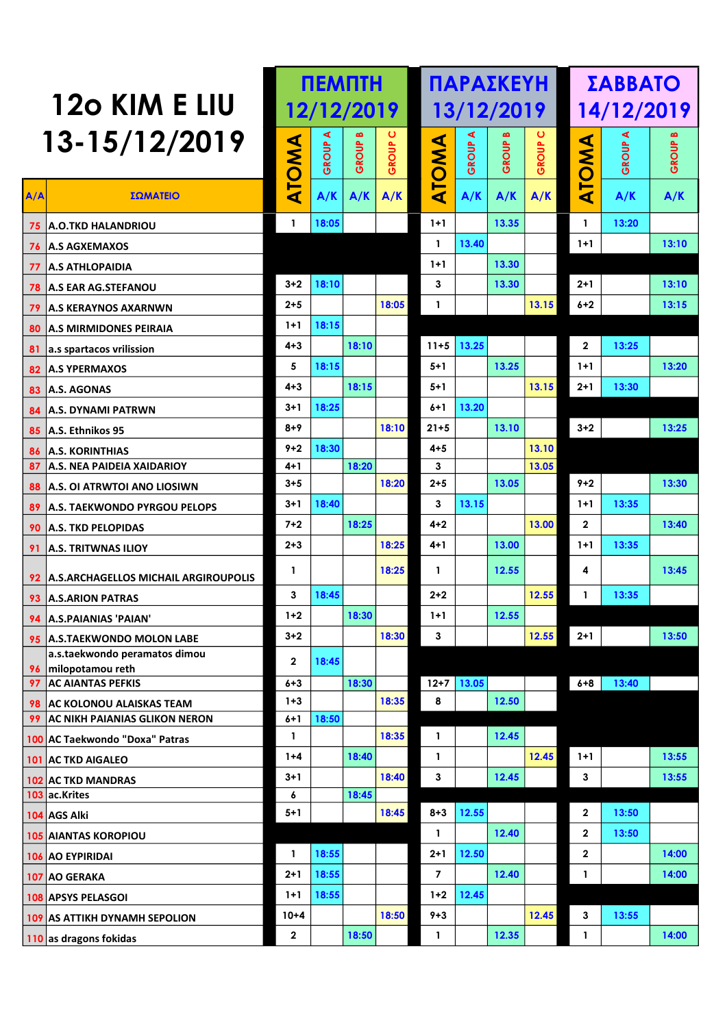|          |                                                   |              |       | <b>NEMNTH</b> |                  |                |       | ΠΑΡΑΣΚΕΥΗ    |       |              | ΣΑΒΒΑΤΟ    |       |
|----------|---------------------------------------------------|--------------|-------|---------------|------------------|----------------|-------|--------------|-------|--------------|------------|-------|
|          | 120 KIM E LIU                                     |              |       | 12/12/2019    |                  |                |       | 13/12/2019   |       |              | 14/12/2019 |       |
|          | 13-15/12/2019                                     |              | ⋖     | ≃             | $\mathbf \sigma$ |                | ⋖     |              | ပ     |              | ⋖          |       |
|          |                                                   |              | GROUP | GROUP         | GROUP            |                | GROUP | <b>GROUP</b> | GROUP | <b>AWO</b>   | GROUP      | GROUP |
| A/A      | ΣΩΜΑΤΕΙΟ                                          | <b>ATOMA</b> | A/K   | A/K           | A/K              | ATOMA          | A/K   | A/K          | A/K   | ⊨<br>⋖       | A/K        | A/K   |
|          | <b>75 A.O.TKD HALANDRIOU</b>                      | $\mathbf{1}$ | 18:05 |               |                  | $1+1$          |       | 13.35        |       | $\mathbf{1}$ | 13:20      |       |
|          | <b>76 A.S AGXEMAXOS</b>                           |              |       |               |                  | $\mathbf{1}$   | 13.40 |              |       | $1+1$        |            | 13:10 |
|          | 77   A.S ATHLOPAIDIA                              |              |       |               |                  | $1+1$          |       | 13.30        |       |              |            |       |
|          | 78   A.S EAR AG.STEFANOU                          | $3 + 2$      | 18:10 |               |                  | 3              |       | 13.30        |       | $2+1$        |            | 13:10 |
|          | <b>79 A.S KERAYNOS AXARNWN</b>                    | $2 + 5$      |       |               | 18:05            | 1              |       |              | 13.15 | $6+2$        |            | 13:15 |
|          | 80 A.S MIRMIDONES PEIRAIA                         | $1+1$        | 18:15 |               |                  |                |       |              |       |              |            |       |
|          | 81 a.s spartacos vrilission                       | $4 + 3$      |       | 18:10         |                  | $11 + 5$       | 13.25 |              |       | $\mathbf{2}$ | 13:25      |       |
|          | 82 A.S YPERMAXOS                                  | 5            | 18:15 |               |                  | $5 + 1$        |       | 13.25        |       | $1 + 1$      |            | 13:20 |
|          | 83 A.S. AGONAS                                    | $4 + 3$      |       | 18:15         |                  | $5 + 1$        |       |              | 13.15 | $2 + 1$      | 13:30      |       |
|          | 84 A.S. DYNAMI PATRWN                             | $3 + 1$      | 18:25 |               |                  | $6+1$          | 13.20 |              |       |              |            |       |
|          | 85 A.S. Ethnikos 95                               | $8 + 9$      |       |               | 18:10            | $21 + 5$       |       | 13.10        |       | $3 + 2$      |            | 13:25 |
|          | <b>86 A.S. KORINTHIAS</b>                         | $9 + 2$      | 18:30 |               |                  | $4 + 5$        |       |              | 13.10 |              |            |       |
| 87       | <b>A.S. NEA PAIDEIA XAIDARIOY</b>                 | 4+1          |       | 18:20         |                  | 3              |       |              | 13.05 |              |            |       |
|          | 88 A.S. OI ATRWTOI ANO LIOSIWN                    | $3 + 5$      |       |               | 18:20            | $2 + 5$        |       | 13.05        |       | $9 + 2$      |            | 13:30 |
|          | 89 A.S. TAEKWONDO PYRGOU PELOPS                   | $3 + 1$      | 18:40 |               |                  | 3              | 13.15 |              |       | $1+1$        | 13:35      |       |
|          | 90   A.S. TKD PELOPIDAS                           | $7 + 2$      |       | 18:25         |                  | $4 + 2$        |       |              | 13.00 | $\mathbf{2}$ |            | 13:40 |
|          | 91 A.S. TRITWNAS ILIOY                            | $2 + 3$      |       |               | 18:25            | 4+1            |       | 13.00        |       | $1+1$        | 13:35      |       |
|          | 92 A.S.ARCHAGELLOS MICHAIL ARGIROUPOLIS           | 1            |       |               | 18:25            | 1              |       | 12.55        |       | 4            |            | 13:45 |
|          | 93 A.S.ARION PATRAS                               | 3            | 18:45 |               |                  | $2 + 2$        |       |              | 12.55 | 1            | 13:35      |       |
|          | 94 A.S. PAIANIAS 'PAIAN'                          | $1+2$        |       | 18:30         |                  | $1+1$          |       | 12.55        |       |              |            |       |
|          | 95 A.S. TAEKWONDO MOLON LABE                      | $3 + 2$      |       |               | 18:30            | 3              |       |              | 12.55 | $2+1$        |            | 13:50 |
|          | a.s.taekwondo peramatos dimou<br>milopotamou reth | $\mathbf 2$  | 18:45 |               |                  |                |       |              |       |              |            |       |
| 96<br>97 | <b>AC AIANTAS PEFKIS</b>                          | $6 + 3$      |       | 18:30         |                  | $12 + 7$       | 13.05 |              |       | $6 + 8$      | 13:40      |       |
|          | 98 AC KOLONOU ALAISKAS TEAM                       | $1 + 3$      |       |               | 18:35            | 8              |       | 12.50        |       |              |            |       |
| 99       | <b>AC NIKH PAIANIAS GLIKON NERON</b>              | $6 + 1$      | 18:50 |               |                  |                |       |              |       |              |            |       |
|          | 100 AC Taekwondo "Doxa" Patras                    | $\mathbf{I}$ |       |               | 18:35            | $\mathbf{1}$   |       | 12.45        |       |              |            |       |
|          | 101 AC TKD AIGALEO                                | $1 + 4$      |       | 18:40         |                  | $\mathbf{1}$   |       |              | 12.45 | $1+1$        |            | 13:55 |
|          | 102 AC TKD MANDRAS                                | $3 + 1$      |       |               | 18:40            | 3              |       | 12.45        |       | 3            |            | 13:55 |
|          | 103 ac.Krites                                     | 6            |       | 18:45         |                  |                |       |              |       |              |            |       |
|          | 104 AGS Alki                                      | $5 + 1$      |       |               | 18:45            | $8 + 3$        | 12.55 |              |       | $\mathbf{2}$ | 13:50      |       |
|          | <b>105 AIANTAS KOROPIOU</b>                       |              |       |               |                  | $\mathbf{1}$   |       | 12.40        |       | $\mathbf{2}$ | 13:50      |       |
|          | 106 AO EYPIRIDAI                                  | $\mathbf{1}$ | 18:55 |               |                  | $2 + 1$        | 12.50 |              |       | $\mathbf{2}$ |            | 14:00 |
|          | 107 AO GERAKA                                     | $2 + 1$      | 18:55 |               |                  | $\overline{7}$ |       | 12.40        |       | 1            |            | 14:00 |
|          | 108 APSYS PELASGOI                                | $1+1$        | 18:55 |               |                  | $1 + 2$        | 12.45 |              |       |              |            |       |
|          | 109 AS ATTIKH DYNAMH SEPOLION                     | $10 + 4$     |       |               | 18:50            | $9 + 3$        |       |              | 12.45 | 3            | 13:55      |       |
|          | $\vert$ 110 as dragons fokidas                    | $\mathbf 2$  |       | 18:50         |                  | $\mathbf{1}$   |       | 12.35        |       | 1            |            | 14:00 |